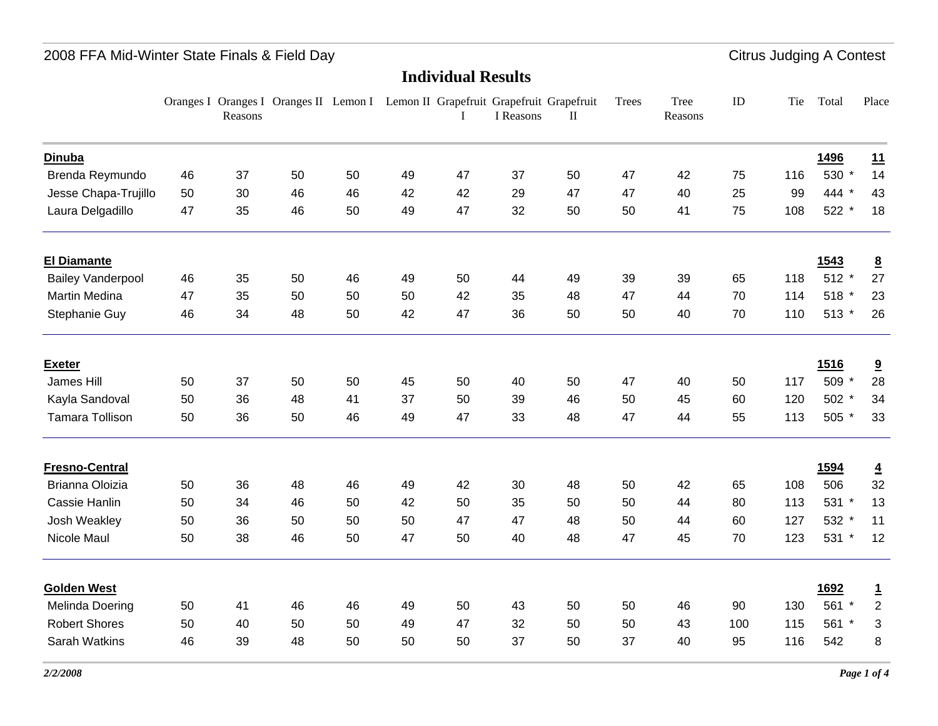### **Individual Results**

|                          |    | Reasons | Oranges I Oranges I Oranges II Lemon I Lemon II Grapefruit Grapefruit Grapefruit |    |    |    | I Reasons | $\mathbf{I}$ | Trees | Tree<br>Reasons | ID  | Tie | Total   | Place           |
|--------------------------|----|---------|----------------------------------------------------------------------------------|----|----|----|-----------|--------------|-------|-----------------|-----|-----|---------|-----------------|
| <b>Dinuba</b>            |    |         |                                                                                  |    |    |    |           |              |       |                 |     |     | 1496    | 11              |
| Brenda Reymundo          | 46 | 37      | 50                                                                               | 50 | 49 | 47 | 37        | 50           | 47    | 42              | 75  | 116 | 530 *   | 14              |
| Jesse Chapa-Trujillo     | 50 | 30      | 46                                                                               | 46 | 42 | 42 | 29        | 47           | 47    | 40              | 25  | 99  | 444 *   | 43              |
| Laura Delgadillo         | 47 | 35      | 46                                                                               | 50 | 49 | 47 | 32        | 50           | 50    | 41              | 75  | 108 | 522 *   | 18              |
| <b>El Diamante</b>       |    |         |                                                                                  |    |    |    |           |              |       |                 |     |     | 1543    | $\underline{8}$ |
| <b>Bailey Vanderpool</b> | 46 | 35      | 50                                                                               | 46 | 49 | 50 | 44        | 49           | 39    | 39              | 65  | 118 | $512 *$ | 27              |
| Martin Medina            | 47 | 35      | 50                                                                               | 50 | 50 | 42 | 35        | 48           | 47    | 44              | 70  | 114 | 518 *   | 23              |
| Stephanie Guy            | 46 | 34      | 48                                                                               | 50 | 42 | 47 | 36        | 50           | 50    | 40              | 70  | 110 | $513 *$ | 26              |
| <b>Exeter</b>            |    |         |                                                                                  |    |    |    |           |              |       |                 |     |     | 1516    | 9               |
| James Hill               | 50 | 37      | 50                                                                               | 50 | 45 | 50 | 40        | 50           | 47    | 40              | 50  | 117 | 509 *   | 28              |
| Kayla Sandoval           | 50 | 36      | 48                                                                               | 41 | 37 | 50 | 39        | 46           | 50    | 45              | 60  | 120 | 502 *   | 34              |
| Tamara Tollison          | 50 | 36      | 50                                                                               | 46 | 49 | 47 | 33        | 48           | 47    | 44              | 55  | 113 | 505 *   | 33              |
| <b>Fresno-Central</b>    |    |         |                                                                                  |    |    |    |           |              |       |                 |     |     | 1594    | $\overline{4}$  |
| Brianna Oloizia          | 50 | 36      | 48                                                                               | 46 | 49 | 42 | 30        | 48           | 50    | 42              | 65  | 108 | 506     | 32              |
| Cassie Hanlin            | 50 | 34      | 46                                                                               | 50 | 42 | 50 | 35        | 50           | 50    | 44              | 80  | 113 | 531 *   | 13              |
| Josh Weakley             | 50 | 36      | 50                                                                               | 50 | 50 | 47 | 47        | 48           | 50    | 44              | 60  | 127 | 532 *   | 11              |
| Nicole Maul              | 50 | 38      | 46                                                                               | 50 | 47 | 50 | 40        | 48           | 47    | 45              | 70  | 123 | 531 *   | 12              |
| <b>Golden West</b>       |    |         |                                                                                  |    |    |    |           |              |       |                 |     |     | 1692    | $\overline{1}$  |
| Melinda Doering          | 50 | 41      | 46                                                                               | 46 | 49 | 50 | 43        | 50           | 50    | 46              | 90  | 130 | 561 *   | $\sqrt{2}$      |
| <b>Robert Shores</b>     | 50 | 40      | 50                                                                               | 50 | 49 | 47 | 32        | 50           | 50    | 43              | 100 | 115 | 561 *   | 3               |
| Sarah Watkins            | 46 | 39      | 48                                                                               | 50 | 50 | 50 | 37        | 50           | 37    | 40              | 95  | 116 | 542     | $\bf 8$         |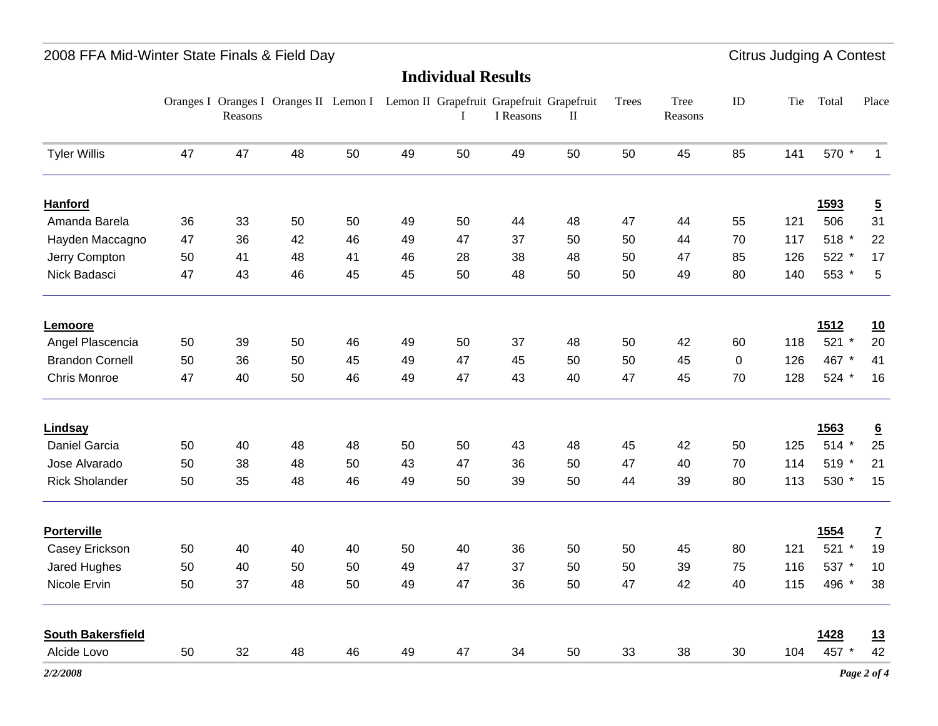## 2008 FFA Mid-Winter State Finals & Field Day **Citrus Judging A Contest** Citrus Judging A Contest

|                          |    | Reasons | Oranges I Oranges I Oranges II Lemon I Lemon II Grapefruit Grapefruit Grapefruit |    |    | L  | I Reasons | $\mathbf{I}$ | Trees | Tree<br>Reasons | ID          | Tie | Total         | Place            |
|--------------------------|----|---------|----------------------------------------------------------------------------------|----|----|----|-----------|--------------|-------|-----------------|-------------|-----|---------------|------------------|
| <b>Tyler Willis</b>      | 47 | 47      | 48                                                                               | 50 | 49 | 50 | 49        | 50           | 50    | 45              | 85          | 141 | 570 *         | $\mathbf{1}$     |
| <b>Hanford</b>           |    |         |                                                                                  |    |    |    |           |              |       |                 |             |     | 1593          | $\overline{5}$   |
| Amanda Barela            | 36 | 33      | 50                                                                               | 50 | 49 | 50 | 44        | 48           | 47    | 44              | 55          | 121 | 506           | 31               |
| Hayden Maccagno          | 47 | 36      | 42                                                                               | 46 | 49 | 47 | 37        | 50           | 50    | 44              | 70          | 117 | 518 *         | 22               |
| Jerry Compton            | 50 | 41      | 48                                                                               | 41 | 46 | 28 | 38        | 48           | 50    | 47              | 85          | 126 | 522 *         | 17               |
| Nick Badasci             | 47 | 43      | 46                                                                               | 45 | 45 | 50 | 48        | 50           | 50    | 49              | 80          | 140 | 553 *         | 5                |
| Lemoore                  |    |         |                                                                                  |    |    |    |           |              |       |                 |             |     | 1512          | <u>10</u>        |
| Angel Plascencia         | 50 | 39      | 50                                                                               | 46 | 49 | 50 | 37        | 48           | 50    | 42              | 60          | 118 | 521 *         | 20               |
| <b>Brandon Cornell</b>   | 50 | 36      | 50                                                                               | 45 | 49 | 47 | 45        | 50           | 50    | 45              | $\mathbf 0$ | 126 | 467 *         | 41               |
| Chris Monroe             | 47 | 40      | 50                                                                               | 46 | 49 | 47 | 43        | 40           | 47    | 45              | 70          | 128 | 524 *         | 16               |
| Lindsay                  |    |         |                                                                                  |    |    |    |           |              |       |                 |             |     | 1563          | $6 \overline{6}$ |
| Daniel Garcia            | 50 | 40      | 48                                                                               | 48 | 50 | 50 | 43        | 48           | 45    | 42              | 50          | 125 | 514 *         | 25               |
| Jose Alvarado            | 50 | 38      | 48                                                                               | 50 | 43 | 47 | 36        | 50           | 47    | 40              | 70          | 114 | 519 *         | 21               |
| <b>Rick Sholander</b>    | 50 | 35      | 48                                                                               | 46 | 49 | 50 | 39        | 50           | 44    | 39              | 80          | 113 | 530<br>$\ast$ | 15               |
| <b>Porterville</b>       |    |         |                                                                                  |    |    |    |           |              |       |                 |             |     | <b>1554</b>   | $\mathbf{Z}$     |
| Casey Erickson           | 50 | 40      | 40                                                                               | 40 | 50 | 40 | 36        | 50           | 50    | 45              | 80          | 121 | $521 *$       | 19               |
| Jared Hughes             | 50 | 40      | 50                                                                               | 50 | 49 | 47 | 37        | 50           | 50    | 39              | 75          | 116 | 537 *         | 10               |
| Nicole Ervin             | 50 | 37      | 48                                                                               | 50 | 49 | 47 | 36        | 50           | 47    | 42              | 40          | 115 | 496 *         | 38               |
| <b>South Bakersfield</b> |    |         |                                                                                  |    |    |    |           |              |       |                 |             |     | 1428          | 13               |
| Alcide Lovo              | 50 | 32      | 48                                                                               | 46 | 49 | 47 | 34        | 50           | 33    | 38              | 30          | 104 | 457 *         | 42               |

**Individual Results**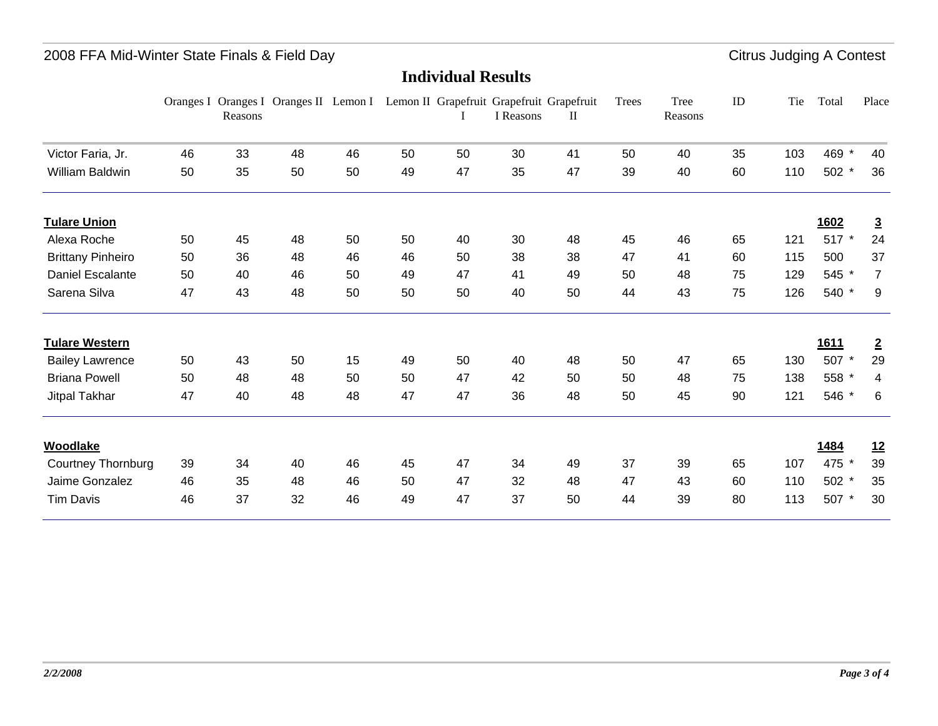|                          |    | Reasons |    |    |    |    | Oranges I Oranges I Oranges II Lemon I Lemon II Grapefruit Grapefruit Grapefruit<br>I Reasons | $\mathbf{I}$ | Trees | Tree<br>Reasons | ID | Tie | Total       | Place          |
|--------------------------|----|---------|----|----|----|----|-----------------------------------------------------------------------------------------------|--------------|-------|-----------------|----|-----|-------------|----------------|
| Victor Faria, Jr.        | 46 | 33      | 48 | 46 | 50 | 50 | 30                                                                                            | 41           | 50    | 40              | 35 | 103 | 469         | 40             |
| <b>William Baldwin</b>   | 50 | 35      | 50 | 50 | 49 | 47 | 35                                                                                            | 47           | 39    | 40              | 60 | 110 | 502 *       | 36             |
| <b>Tulare Union</b>      |    |         |    |    |    |    |                                                                                               |              |       |                 |    |     | 1602        | $\overline{3}$ |
| Alexa Roche              | 50 | 45      | 48 | 50 | 50 | 40 | 30                                                                                            | 48           | 45    | 46              | 65 | 121 | 517 *       | 24             |
| <b>Brittany Pinheiro</b> | 50 | 36      | 48 | 46 | 46 | 50 | 38                                                                                            | 38           | 47    | 41              | 60 | 115 | 500         | 37             |
| <b>Daniel Escalante</b>  | 50 | 40      | 46 | 50 | 49 | 47 | 41                                                                                            | 49           | 50    | 48              | 75 | 129 | 545         | $\overline{7}$ |
| Sarena Silva             | 47 | 43      | 48 | 50 | 50 | 50 | 40                                                                                            | 50           | 44    | 43              | 75 | 126 | 540         | 9              |
| <b>Tulare Western</b>    |    |         |    |    |    |    |                                                                                               |              |       |                 |    |     | <u>1611</u> | $\overline{2}$ |
| <b>Bailey Lawrence</b>   | 50 | 43      | 50 | 15 | 49 | 50 | 40                                                                                            | 48           | 50    | 47              | 65 | 130 | 507 *       | 29             |
| <b>Briana Powell</b>     | 50 | 48      | 48 | 50 | 50 | 47 | 42                                                                                            | 50           | 50    | 48              | 75 | 138 | 558         | 4              |
| Jitpal Takhar            | 47 | 40      | 48 | 48 | 47 | 47 | 36                                                                                            | 48           | 50    | 45              | 90 | 121 | 546         | 6              |
| <b>Woodlake</b>          |    |         |    |    |    |    |                                                                                               |              |       |                 |    |     | 1484        | 12             |
| Courtney Thornburg       | 39 | 34      | 40 | 46 | 45 | 47 | 34                                                                                            | 49           | 37    | 39              | 65 | 107 | 475         | 39             |
| Jaime Gonzalez           | 46 | 35      | 48 | 46 | 50 | 47 | 32                                                                                            | 48           | 47    | 43              | 60 | 110 | 502         | 35             |
| <b>Tim Davis</b>         | 46 | 37      | 32 | 46 | 49 | 47 | 37                                                                                            | 50           | 44    | 39              | 80 | 113 | 507         | 30             |
|                          |    |         |    |    |    |    |                                                                                               |              |       |                 |    |     |             |                |

#### **Individual Results**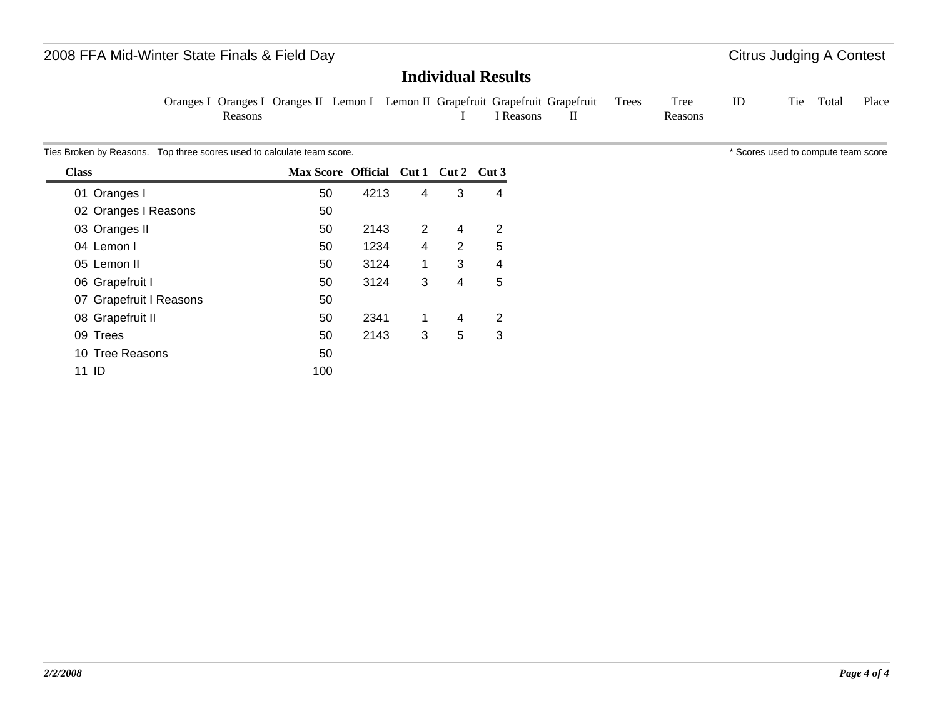## **Individual Results**

Oranges I Oranges I Oranges II Lemon I Lemon II Grapefruit Grapefruit Grapefruit Reasons I I Reasons II Trees Tree Reasons ID Tie Total Place

Ties Broken by Reasons. Top three scores used to calculate team score. The state of the scores used to compute team score sused to compute team score

| <b>Class</b>            | Max Score Official Cut 1 Cut 2 Cut 3 |      |   |   |   |
|-------------------------|--------------------------------------|------|---|---|---|
| 01 Oranges I            | 50                                   | 4213 | 4 | 3 | 4 |
| 02 Oranges I Reasons    | 50                                   |      |   |   |   |
| 03 Oranges II           | 50                                   | 2143 | 2 | 4 | 2 |
| 04 Lemon I              | 50                                   | 1234 | 4 | 2 | 5 |
| 05 Lemon II             | 50                                   | 3124 | 1 | 3 | 4 |
| 06 Grapefruit I         | 50                                   | 3124 | 3 | 4 | 5 |
| 07 Grapefruit I Reasons | 50                                   |      |   |   |   |
| 08 Grapefruit II        | 50                                   | 2341 | 1 | 4 | 2 |
| 09 Trees                | 50                                   | 2143 | 3 | 5 | 3 |
| 10 Tree Reasons         | 50                                   |      |   |   |   |
| -ID<br>11               | 100                                  |      |   |   |   |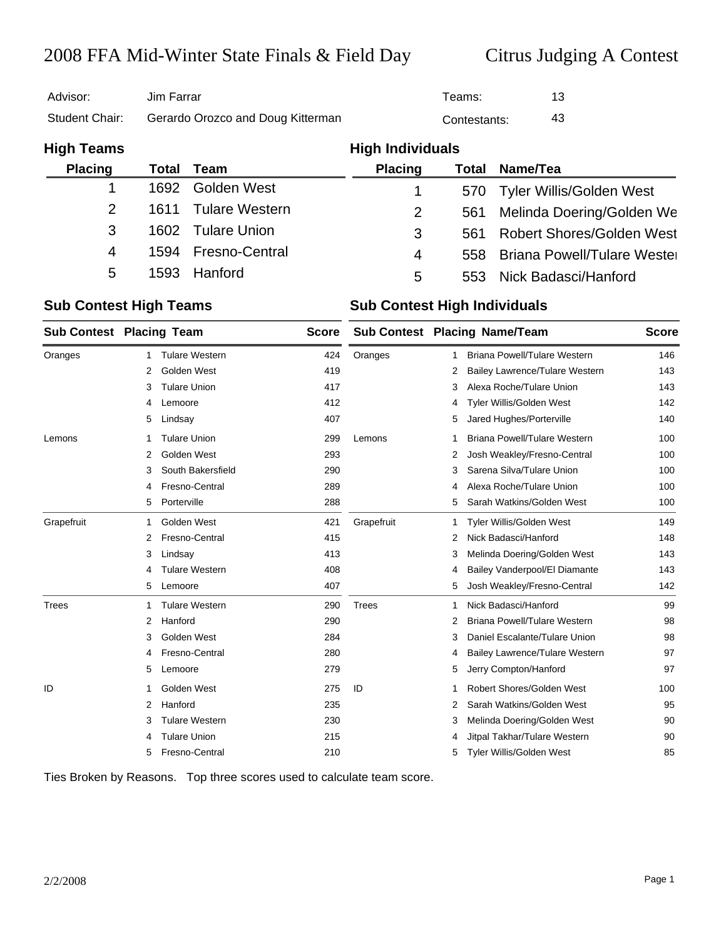| Advisor:       | Jim Farrar                        | Teams:       | 13 |
|----------------|-----------------------------------|--------------|----|
| Student Chair: | Gerardo Orozco and Doug Kitterman | Contestants: | 43 |

| <b>High Teams</b> |      |                     | <b>High Individuals</b> |       |                                  |
|-------------------|------|---------------------|-------------------------|-------|----------------------------------|
| <b>Placing</b>    |      | <b>Total Team</b>   | <b>Placing</b>          | Total | Name/Tea                         |
|                   | 1692 | Golden West         |                         |       | 570 Tyler Willis/Golden West     |
| 2                 |      | 1611 Tulare Western | $\overline{2}$          | 561   | Melinda Doering/Golden We        |
| 3                 |      | 1602 Tulare Union   | 3                       | 561   | <b>Robert Shores/Golden West</b> |
| 4                 |      | 1594 Fresno-Central | 4                       |       | 558 Briana Powell/Tulare Wester  |
| 5                 | 1593 | Hanford             | 5                       | 553   | Nick Badasci/Hanford             |

#### **Sub Contest High Teams Sub Contest High Individuals**

| <b>Sub Contest Placing Team</b> |   |                       | <b>Score</b> |              |   | <b>Sub Contest Placing Name/Team</b> | <b>Score</b> |
|---------------------------------|---|-----------------------|--------------|--------------|---|--------------------------------------|--------------|
| Oranges                         | 1 | <b>Tulare Western</b> | 424          | Oranges      | 1 | <b>Briana Powell/Tulare Western</b>  | 146          |
|                                 | 2 | Golden West           | 419          |              | 2 | Bailey Lawrence/Tulare Western       | 143          |
|                                 | 3 | <b>Tulare Union</b>   | 417          |              | 3 | Alexa Roche/Tulare Union             | 143          |
|                                 | 4 | Lemoore               | 412          |              | 4 | Tyler Willis/Golden West             | 142          |
|                                 | 5 | Lindsay               | 407          |              | 5 | Jared Hughes/Porterville             | 140          |
| Lemons                          |   | <b>Tulare Union</b>   | 299          | Lemons       | 1 | Briana Powell/Tulare Western         | 100          |
|                                 | 2 | Golden West           | 293          |              | 2 | Josh Weakley/Fresno-Central          | 100          |
|                                 | 3 | South Bakersfield     | 290          |              | 3 | Sarena Silva/Tulare Union            | 100          |
|                                 | 4 | Fresno-Central        | 289          |              | 4 | Alexa Roche/Tulare Union             | 100          |
|                                 | 5 | Porterville           | 288          |              | 5 | Sarah Watkins/Golden West            | 100          |
| Grapefruit                      | 1 | Golden West           | 421          | Grapefruit   | 1 | Tyler Willis/Golden West             | 149          |
|                                 | 2 | Fresno-Central        | 415          |              | 2 | Nick Badasci/Hanford                 | 148          |
|                                 | 3 | Lindsay               | 413          |              | 3 | Melinda Doering/Golden West          | 143          |
|                                 | 4 | <b>Tulare Western</b> | 408          |              | 4 | Bailey Vanderpool/El Diamante        | 143          |
|                                 | 5 | Lemoore               | 407          |              | 5 | Josh Weakley/Fresno-Central          | 142          |
| <b>Trees</b>                    | 1 | <b>Tulare Western</b> | 290          | <b>Trees</b> | 1 | Nick Badasci/Hanford                 | 99           |
|                                 | 2 | Hanford               | 290          |              | 2 | Briana Powell/Tulare Western         | 98           |
|                                 | 3 | Golden West           | 284          |              | 3 | Daniel Escalante/Tulare Union        | 98           |
|                                 | 4 | Fresno-Central        | 280          |              | 4 | Bailey Lawrence/Tulare Western       | 97           |
|                                 | 5 | Lemoore               | 279          |              | 5 | Jerry Compton/Hanford                | 97           |
| ID                              | 1 | Golden West           | 275          | ID           | 1 | Robert Shores/Golden West            | 100          |
|                                 | 2 | Hanford               | 235          |              | 2 | Sarah Watkins/Golden West            | 95           |
|                                 | 3 | <b>Tulare Western</b> | 230          |              | 3 | Melinda Doering/Golden West          | 90           |
|                                 | 4 | <b>Tulare Union</b>   | 215          |              | 4 | Jitpal Takhar/Tulare Western         | 90           |
|                                 | 5 | Fresno-Central        | 210          |              | 5 | Tyler Willis/Golden West             | 85           |

Ties Broken by Reasons. Top three scores used to calculate team score.